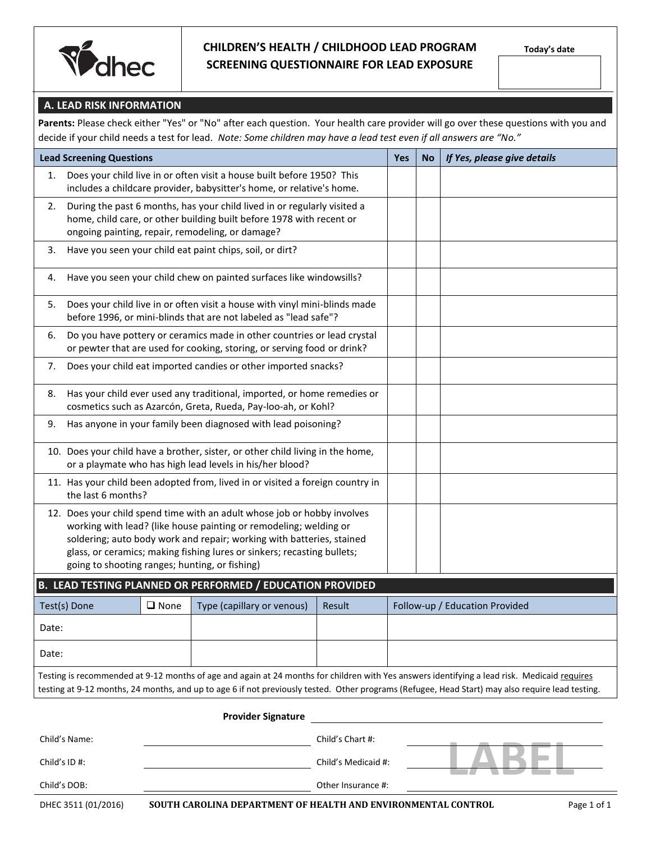

# **CHILDREN'S HEALTH / CHILDHOOD LEAD PROGRAM Today's date SCREENING QUESTIONNAIRE FOR LEAD EXPOSURE**

#### **A. LEAD RISK INFORMATION**

**Parents:** Please check either "Yes" or "No" after each question. Your health care provider will go over these questions with you and decide if your child needs a test for lead. *Note: Some children may have a lead test even if all answers are "No."*

| <b>Lead Screening Questions</b>                                                                                                                                                                                                                                                                                                                     |                                                                                                                                                    |                                                                                                                                                  |                                                                     |  |                                | <b>No</b> | If Yes, please give details |  |  |
|-----------------------------------------------------------------------------------------------------------------------------------------------------------------------------------------------------------------------------------------------------------------------------------------------------------------------------------------------------|----------------------------------------------------------------------------------------------------------------------------------------------------|--------------------------------------------------------------------------------------------------------------------------------------------------|---------------------------------------------------------------------|--|--------------------------------|-----------|-----------------------------|--|--|
| 1.                                                                                                                                                                                                                                                                                                                                                  | Does your child live in or often visit a house built before 1950? This<br>includes a childcare provider, babysitter's home, or relative's home.    |                                                                                                                                                  |                                                                     |  |                                |           |                             |  |  |
| 2.<br>ongoing painting, repair, remodeling, or damage?                                                                                                                                                                                                                                                                                              |                                                                                                                                                    | During the past 6 months, has your child lived in or regularly visited a<br>home, child care, or other building built before 1978 with recent or |                                                                     |  |                                |           |                             |  |  |
| Have you seen your child eat paint chips, soil, or dirt?<br>3.                                                                                                                                                                                                                                                                                      |                                                                                                                                                    |                                                                                                                                                  |                                                                     |  |                                |           |                             |  |  |
| 4.                                                                                                                                                                                                                                                                                                                                                  |                                                                                                                                                    |                                                                                                                                                  | Have you seen your child chew on painted surfaces like windowsills? |  |                                |           |                             |  |  |
| 5.                                                                                                                                                                                                                                                                                                                                                  | Does your child live in or often visit a house with vinyl mini-blinds made<br>before 1996, or mini-blinds that are not labeled as "lead safe"?     |                                                                                                                                                  |                                                                     |  |                                |           |                             |  |  |
| 6.                                                                                                                                                                                                                                                                                                                                                  | Do you have pottery or ceramics made in other countries or lead crystal<br>or pewter that are used for cooking, storing, or serving food or drink? |                                                                                                                                                  |                                                                     |  |                                |           |                             |  |  |
| 7.                                                                                                                                                                                                                                                                                                                                                  | Does your child eat imported candies or other imported snacks?                                                                                     |                                                                                                                                                  |                                                                     |  |                                |           |                             |  |  |
| 8.                                                                                                                                                                                                                                                                                                                                                  | Has your child ever used any traditional, imported, or home remedies or<br>cosmetics such as Azarcón, Greta, Rueda, Pay-loo-ah, or Kohl?           |                                                                                                                                                  |                                                                     |  |                                |           |                             |  |  |
| 9.                                                                                                                                                                                                                                                                                                                                                  | Has anyone in your family been diagnosed with lead poisoning?                                                                                      |                                                                                                                                                  |                                                                     |  |                                |           |                             |  |  |
|                                                                                                                                                                                                                                                                                                                                                     | 10. Does your child have a brother, sister, or other child living in the home,<br>or a playmate who has high lead levels in his/her blood?         |                                                                                                                                                  |                                                                     |  |                                |           |                             |  |  |
| 11. Has your child been adopted from, lived in or visited a foreign country in<br>the last 6 months?                                                                                                                                                                                                                                                |                                                                                                                                                    |                                                                                                                                                  |                                                                     |  |                                |           |                             |  |  |
| 12. Does your child spend time with an adult whose job or hobby involves<br>working with lead? (like house painting or remodeling; welding or<br>soldering; auto body work and repair; working with batteries, stained<br>glass, or ceramics; making fishing lures or sinkers; recasting bullets;<br>going to shooting ranges; hunting, or fishing) |                                                                                                                                                    |                                                                                                                                                  |                                                                     |  |                                |           |                             |  |  |
| B. LEAD TESTING PLANNED OR PERFORMED / EDUCATION PROVIDED                                                                                                                                                                                                                                                                                           |                                                                                                                                                    |                                                                                                                                                  |                                                                     |  |                                |           |                             |  |  |
| Test(s) Done<br>$\Box$ None                                                                                                                                                                                                                                                                                                                         |                                                                                                                                                    | Type (capillary or venous)                                                                                                                       | Result                                                              |  | Follow-up / Education Provided |           |                             |  |  |
| Date:                                                                                                                                                                                                                                                                                                                                               |                                                                                                                                                    |                                                                                                                                                  |                                                                     |  |                                |           |                             |  |  |
| Date:                                                                                                                                                                                                                                                                                                                                               |                                                                                                                                                    |                                                                                                                                                  |                                                                     |  |                                |           |                             |  |  |
| Testing is recommended at 9-12 months of age and again at 24 months for children with Yes answers identifying a lead risk. Medicaid requires<br>testing at 9-12 months, 24 months, and up to age 6 if not previously tested. Other programs (Refugee, Head Start) may also require lead testing.                                                    |                                                                                                                                                    |                                                                                                                                                  |                                                                     |  |                                |           |                             |  |  |
|                                                                                                                                                                                                                                                                                                                                                     | <b>Provider Signature</b>                                                                                                                          |                                                                                                                                                  |                                                                     |  |                                |           |                             |  |  |

|               | <b>THOMAGE SIGNATURE</b> |                     |  |
|---------------|--------------------------|---------------------|--|
| Child's Name: |                          | Child's Chart #:    |  |
| Child's ID #: |                          | Child's Medicaid #: |  |
| Child's DOB:  |                          | Other Insurance #:  |  |